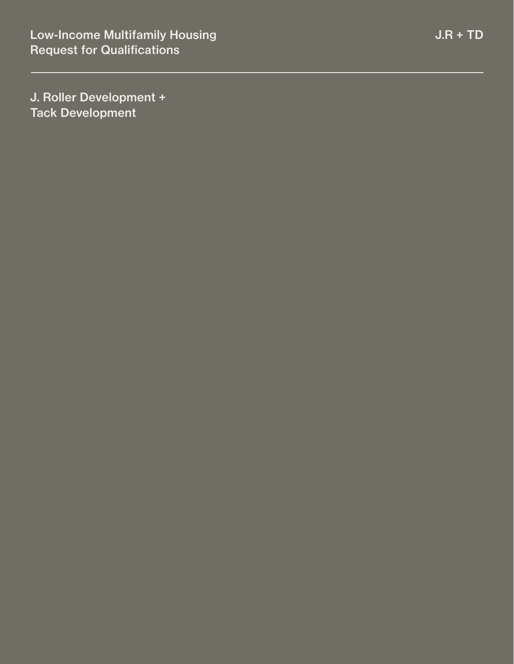J. Roller Development + Tack Development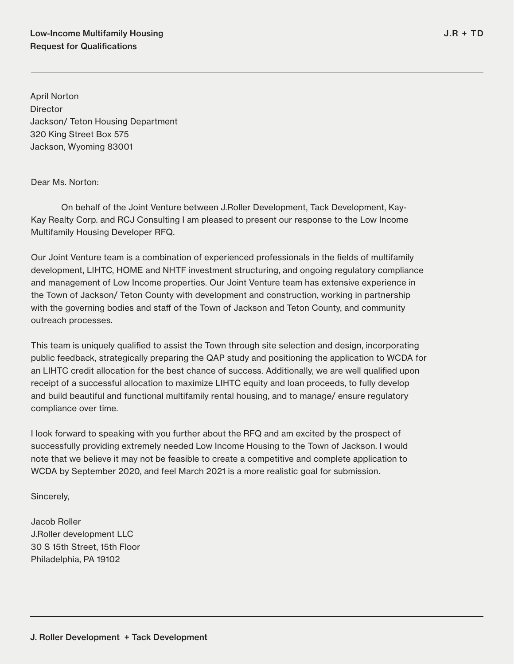April Norton **Director** Jackson/ Teton Housing Department 320 King Street Box 575 Jackson, Wyoming 83001

Dear Ms. Norton:

On behalf of the Joint Venture between J.Roller Development, Tack Development, Kay-Kay Realty Corp. and RCJ Consulting I am pleased to present our response to the Low Income Multifamily Housing Developer RFQ.

Our Joint Venture team is a combination of experienced professionals in the fields of multifamily development, LIHTC, HOME and NHTF investment structuring, and ongoing regulatory compliance and management of Low Income properties. Our Joint Venture team has extensive experience in the Town of Jackson/ Teton County with development and construction, working in partnership with the governing bodies and staff of the Town of Jackson and Teton County, and community outreach processes.

This team is uniquely qualified to assist the Town through site selection and design, incorporating public feedback, strategically preparing the QAP study and positioning the application to WCDA for an LIHTC credit allocation for the best chance of success. Additionally, we are well qualified upon receipt of a successful allocation to maximize LIHTC equity and loan proceeds, to fully develop and build beautiful and functional multifamily rental housing, and to manage/ ensure regulatory compliance over time.

I look forward to speaking with you further about the RFQ and am excited by the prospect of successfully providing extremely needed Low Income Housing to the Town of Jackson. I would note that we believe it may not be feasible to create a competitive and complete application to WCDA by September 2020, and feel March 2021 is a more realistic goal for submission.

Sincerely,

Jacob Roller J.Roller development LLC 30 S 15th Street, 15th Floor Philadelphia, PA 19102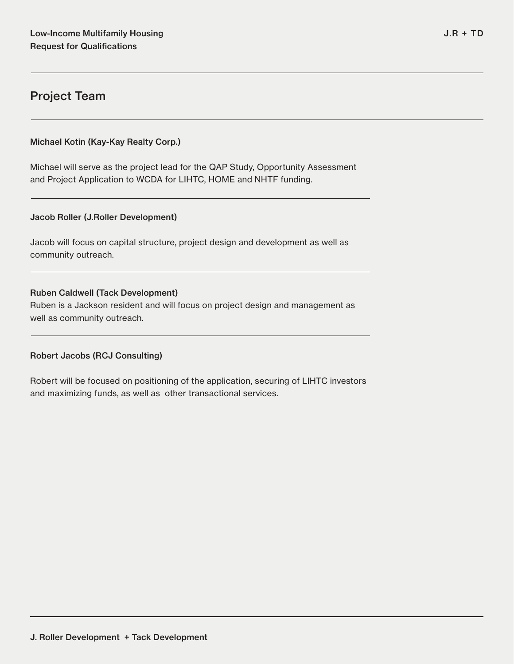## Project Team

## Michael Kotin (Kay-Kay Realty Corp.)

Michael will serve as the project lead for the QAP Study, Opportunity Assessment and Project Application to WCDA for LIHTC, HOME and NHTF funding.

## Jacob Roller (J.Roller Development)

Jacob will focus on capital structure, project design and development as well as community outreach.

## Ruben Caldwell (Tack Development)

Ruben is a Jackson resident and will focus on project design and management as well as community outreach.

## Robert Jacobs (RCJ Consulting)

Robert will be focused on positioning of the application, securing of LIHTC investors and maximizing funds, as well as other transactional services.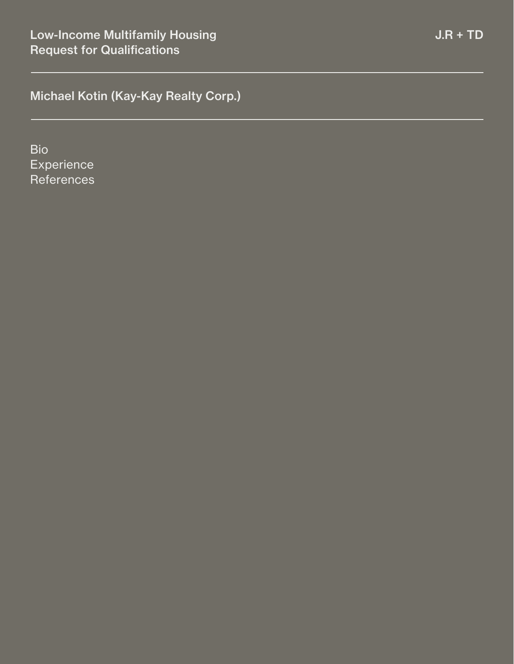Bio **Experience References**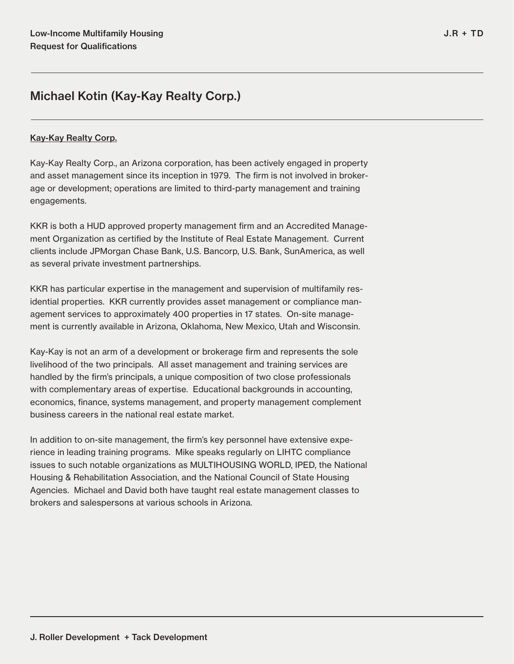## Kay-Kay Realty Corp.

Kay-Kay Realty Corp., an Arizona corporation, has been actively engaged in property and asset management since its inception in 1979. The firm is not involved in brokerage or development; operations are limited to third-party management and training engagements.

KKR is both a HUD approved property management firm and an Accredited Management Organization as certified by the Institute of Real Estate Management. Current clients include JPMorgan Chase Bank, U.S. Bancorp, U.S. Bank, SunAmerica, as well as several private investment partnerships.

KKR has particular expertise in the management and supervision of multifamily residential properties. KKR currently provides asset management or compliance management services to approximately 400 properties in 17 states. On-site management is currently available in Arizona, Oklahoma, New Mexico, Utah and Wisconsin.

Kay-Kay is not an arm of a development or brokerage firm and represents the sole livelihood of the two principals. All asset management and training services are handled by the firm's principals, a unique composition of two close professionals with complementary areas of expertise. Educational backgrounds in accounting, economics, finance, systems management, and property management complement business careers in the national real estate market.

In addition to on-site management, the firm's key personnel have extensive experience in leading training programs. Mike speaks regularly on LIHTC compliance issues to such notable organizations as MULTIHOUSING WORLD, IPED, the National Housing & Rehabilitation Association, and the National Council of State Housing Agencies. Michael and David both have taught real estate management classes to brokers and salespersons at various schools in Arizona.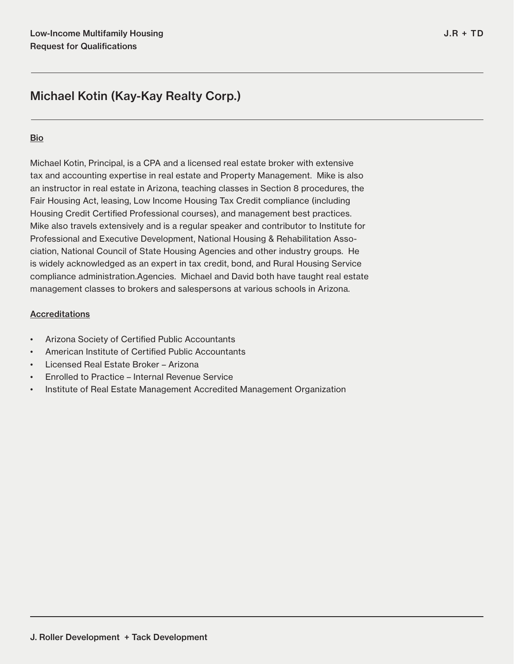## **Bio**

Michael Kotin, Principal, is a CPA and a licensed real estate broker with extensive tax and accounting expertise in real estate and Property Management. Mike is also an instructor in real estate in Arizona, teaching classes in Section 8 procedures, the Fair Housing Act, leasing, Low Income Housing Tax Credit compliance (including Housing Credit Certified Professional courses), and management best practices. Mike also travels extensively and is a regular speaker and contributor to Institute for Professional and Executive Development, National Housing & Rehabilitation Association, National Council of State Housing Agencies and other industry groups. He is widely acknowledged as an expert in tax credit, bond, and Rural Housing Service compliance administration.Agencies. Michael and David both have taught real estate management classes to brokers and salespersons at various schools in Arizona.

## **Accreditations**

- Arizona Society of Certified Public Accountants
- American Institute of Certified Public Accountants
- Licensed Real Estate Broker Arizona
- Enrolled to Practice Internal Revenue Service
- Institute of Real Estate Management Accredited Management Organization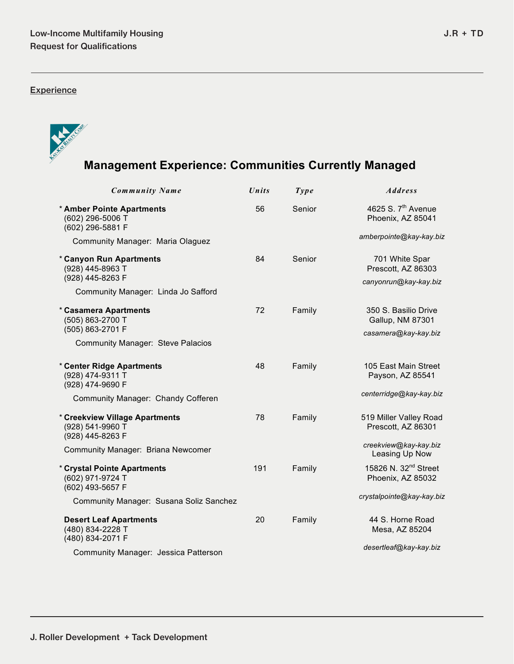**Experience** 



# **Management Experience: Communities Currently Managed**

| Community Name                                                         | Units | Type   | <b>Address</b>                                        |
|------------------------------------------------------------------------|-------|--------|-------------------------------------------------------|
| * Amber Pointe Apartments<br>(602) 296-5006 T<br>(602) 296-5881 F      | 56    | Senior | 4625 S. 7 <sup>th</sup> Avenue<br>Phoenix, AZ 85041   |
| Community Manager: Maria Olaguez                                       |       |        | amberpointe@kay-kay.biz                               |
| * Canyon Run Apartments<br>(928) 445-8963 T                            | 84    | Senior | 701 White Spar<br>Prescott, AZ 86303                  |
| (928) 445-8263 F                                                       |       |        | canyonrun@kay-kay.biz                                 |
| Community Manager: Linda Jo Safford                                    |       |        |                                                       |
| * Casamera Apartments<br>(505) 863-2700 T                              | 72    | Family | 350 S. Basilio Drive<br>Gallup, NM 87301              |
| (505) 863-2701 F                                                       |       |        | casamera@kay-kay.biz                                  |
| <b>Community Manager: Steve Palacios</b>                               |       |        |                                                       |
| * Center Ridge Apartments<br>(928) 474-9311 T<br>(928) 474-9690 F      | 48    | Family | 105 East Main Street<br>Payson, AZ 85541              |
| Community Manager: Chandy Cofferen                                     |       |        | centerridge@kay-kay.biz                               |
|                                                                        |       |        |                                                       |
| * Creekview Village Apartments<br>(928) 541-9960 T<br>(928) 445-8263 F | 78    | Family | 519 Miller Valley Road<br>Prescott, AZ 86301          |
| Community Manager: Briana Newcomer                                     |       |        | creekview@kay-kay.biz<br>Leasing Up Now               |
| * Crystal Pointe Apartments<br>(602) 971-9724 T<br>(602) 493-5657 F    | 191   | Family | 15826 N. 32 <sup>nd</sup> Street<br>Phoenix, AZ 85032 |
| Community Manager: Susana Soliz Sanchez                                |       |        | crystalpointe@kay-kay.biz                             |
| <b>Desert Leaf Apartments</b><br>(480) 834-2228 T<br>(480) 834-2071 F  | 20    | Family | 44 S. Horne Road<br>Mesa, AZ 85204                    |
| Community Manager: Jessica Patterson                                   |       |        | desertleaf@kay-kay.biz                                |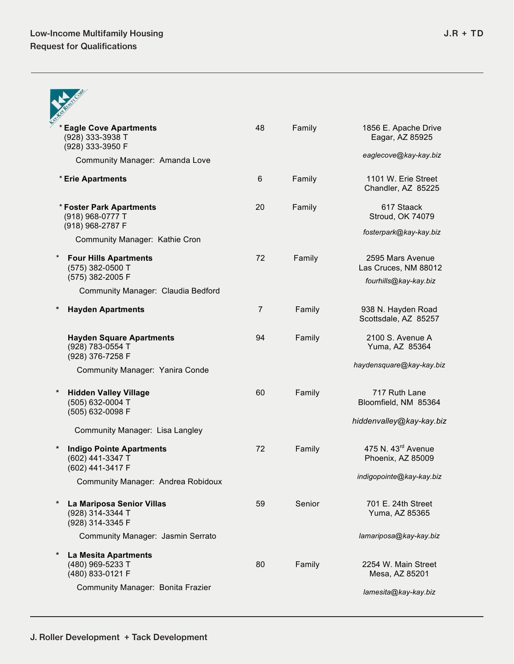|          | <b>Eagle Cove Apartments</b><br>(928) 333-3938 T<br>(928) 333-3950 F    | 48             | Family | 1856 E. Apache Drive<br>Eagar, AZ 85925             |
|----------|-------------------------------------------------------------------------|----------------|--------|-----------------------------------------------------|
|          | Community Manager: Amanda Love                                          |                |        | eaglecove@kay-kay.biz                               |
|          | * Erie Apartments                                                       | 6              | Family | 1101 W. Erie Street<br>Chandler, AZ 85225           |
|          | * Foster Park Apartments<br>(918) 968-0777 T<br>(918) 968-2787 F        | 20             | Family | 617 Staack<br>Stroud, OK 74079                      |
|          | Community Manager: Kathie Cron                                          |                |        | fosterpark@kay-kay.biz                              |
| $\star$  | <b>Four Hills Apartments</b><br>(575) 382-0500 T                        | 72             | Family | 2595 Mars Avenue<br>Las Cruces, NM 88012            |
|          | (575) 382-2005 F<br>Community Manager: Claudia Bedford                  |                |        | fourhills@kay-kay.biz                               |
|          | <b>Hayden Apartments</b>                                                | $\overline{7}$ | Family | 938 N. Hayden Road<br>Scottsdale, AZ 85257          |
|          | <b>Hayden Square Apartments</b><br>(928) 783-0554 T<br>(928) 376-7258 F | 94             | Family | 2100 S. Avenue A<br>Yuma, AZ 85364                  |
|          | Community Manager: Yanira Conde                                         |                |        | haydensquare@kay-kay.biz                            |
| $\ast$   | <b>Hidden Valley Village</b><br>(505) 632-0004 T<br>(505) 632-0098 F    | 60             | Family | 717 Ruth Lane<br>Bloomfield, NM 85364               |
|          | Community Manager: Lisa Langley                                         |                |        | hiddenvalley@kay-kay.biz                            |
|          | <b>Indigo Pointe Apartments</b><br>(602) 441-3347 T<br>(602) 441-3417 F | 72             | Family | 475 N. 43 <sup>rd</sup> Avenue<br>Phoenix, AZ 85009 |
|          | Community Manager: Andrea Robidoux                                      |                |        | indigopointe@kay-kay.biz                            |
| $^\star$ | La Mariposa Senior Villas<br>(928) 314-3344 T<br>(928) 314-3345 F       | 59             | Senior | 701 E. 24th Street<br>Yuma, AZ 85365                |
|          | Community Manager: Jasmin Serrato                                       |                |        | lamariposa@kay-kay.biz                              |
| $^\star$ | La Mesita Apartments<br>(480) 969-5233 T<br>(480) 833-0121 F            | 80             | Family | 2254 W. Main Street<br>Mesa, AZ 85201               |
|          | Community Manager: Bonita Frazier                                       |                |        | lamesita@kay-kay.biz                                |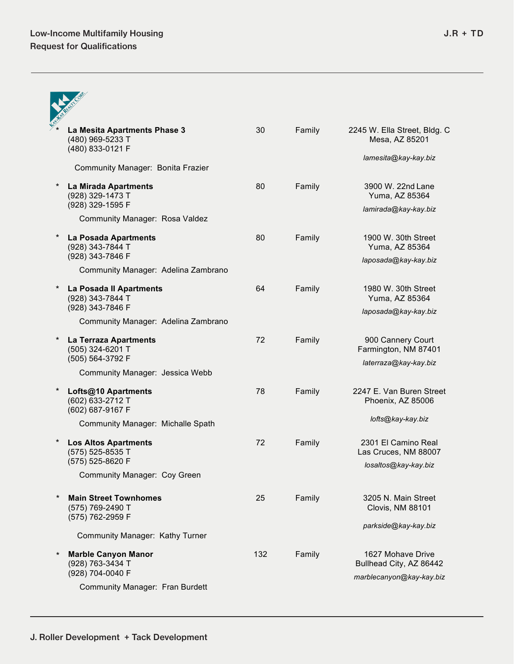|          | La Mesita Apartments Phase 3<br>(480) 969-5233 T<br>(480) 833-0121 F | 30  | Family | 2245 W. Ella Street, Bldg. C<br>Mesa, AZ 85201 |
|----------|----------------------------------------------------------------------|-----|--------|------------------------------------------------|
|          | Community Manager: Bonita Frazier                                    |     |        | lamesita@kay-kay.biz                           |
| $\ast$   | La Mirada Apartments<br>(928) 329-1473 T                             | 80  | Family | 3900 W. 22nd Lane<br>Yuma, AZ 85364            |
|          | (928) 329-1595 F<br>Community Manager: Rosa Valdez                   |     |        | lamirada@kay-kay.biz                           |
|          | La Posada Apartments<br>(928) 343-7844 T                             | 80  | Family | 1900 W. 30th Street<br>Yuma, AZ 85364          |
|          | (928) 343-7846 F<br>Community Manager: Adelina Zambrano              |     |        | laposada@kay-kay.biz                           |
| $^\star$ | La Posada II Apartments<br>(928) 343-7844 T                          | 64  | Family | 1980 W. 30th Street<br>Yuma, AZ 85364          |
|          | (928) 343-7846 F<br>Community Manager: Adelina Zambrano              |     |        | laposada@kay-kay.biz                           |
| $\ast$   | La Terraza Apartments<br>(505) 324-6201 T                            | 72  | Family | 900 Cannery Court<br>Farmington, NM 87401      |
|          | (505) 564-3792 F<br>Community Manager: Jessica Webb                  |     |        | laterraza@kay-kay.biz                          |
| $\ast$   | Lofts@10 Apartments<br>(602) 633-2712 T<br>(602) 687-9167 F          | 78  | Family | 2247 E. Van Buren Street<br>Phoenix, AZ 85006  |
|          | Community Manager: Michalle Spath                                    |     |        | lofts@kay-kay.biz                              |
| $^\star$ | <b>Los Altos Apartments</b><br>(575) 525-8535 T<br>(575) 525-8620 F  | 72  | Family | 2301 El Camino Real<br>Las Cruces, NM 88007    |
|          | Community Manager: Coy Green                                         |     |        | losaltos@kay-kay.biz                           |
| $\star$  | <b>Main Street Townhomes</b><br>(575) 769-2490 T<br>(575) 762-2959 F | 25  | Family | 3205 N. Main Street<br>Clovis, NM 88101        |
|          | Community Manager: Kathy Turner                                      |     |        | parkside@kay-kay.biz                           |
| $^\star$ | <b>Marble Canyon Manor</b><br>(928) 763-3434 T                       | 132 | Family | 1627 Mohave Drive<br>Bullhead City, AZ 86442   |
|          | (928) 704-0040 F<br>Community Manager: Fran Burdett                  |     |        | marblecanyon@kay-kay.biz                       |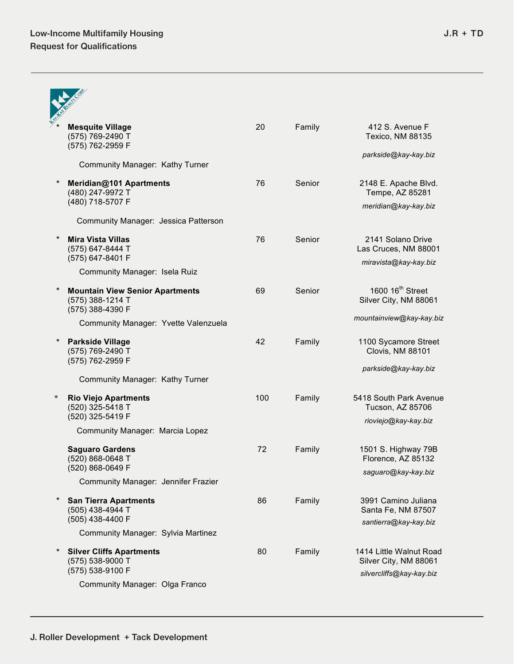|          | <b>Mesquite Village</b><br>(575) 769-2490 T<br>(575) 762-2959 F                | 20  | Family | 412 S. Avenue F<br>Texico, NM 88135                                          |
|----------|--------------------------------------------------------------------------------|-----|--------|------------------------------------------------------------------------------|
|          | Community Manager: Kathy Turner                                                |     |        | parkside@kay-kay.biz                                                         |
|          | Meridian@101 Apartments<br>(480) 247-9972 T                                    | 76  | Senior | 2148 E. Apache Blvd.<br>Tempe, AZ 85281                                      |
|          | (480) 718-5707 F                                                               |     |        | meridian@kay-kay.biz                                                         |
|          | Community Manager: Jessica Patterson                                           |     |        |                                                                              |
|          | <b>Mira Vista Villas</b><br>(575) 647-8444 T<br>(575) 647-8401 F               | 76  | Senior | 2141 Solano Drive<br>Las Cruces, NM 88001                                    |
|          | Community Manager: Isela Ruiz                                                  |     |        | miravista@kay-kay.biz                                                        |
|          | <b>Mountain View Senior Apartments</b><br>(575) 388-1214 T<br>(575) 388-4390 F | 69  | Senior | 1600 16 <sup>th</sup> Street<br>Silver City, NM 88061                        |
|          | Community Manager: Yvette Valenzuela                                           |     |        | mountainview@kay-kay.biz                                                     |
|          | <b>Parkside Village</b><br>(575) 769-2490 T<br>(575) 762-2959 F                | 42  | Family | 1100 Sycamore Street<br>Clovis, NM 88101                                     |
|          | Community Manager: Kathy Turner                                                |     |        | parkside@kay-kay.biz                                                         |
| $\ast$   | <b>Rio Viejo Apartments</b><br>(520) 325-5418 T<br>(520) 325-5419 F            | 100 | Family | 5418 South Park Avenue<br>Tucson, AZ 85706<br>rioviejo@kay-kay.biz           |
|          | Community Manager: Marcia Lopez                                                |     |        |                                                                              |
|          | <b>Saguaro Gardens</b><br>(520) 868-0648 T<br>(520) 868-0649 F                 | 72  | Family | 1501 S. Highway 79B<br>Florence, AZ 85132                                    |
|          | Community Manager: Jennifer Frazier                                            |     |        | saguaro@kay-kay.biz                                                          |
| $^\star$ | <b>San Tierra Apartments</b><br>(505) 438-4944 T<br>(505) 438-4400 F           | 86  | Family | 3991 Camino Juliana<br>Santa Fe, NM 87507<br>santierra@kay-kay.biz           |
|          | Community Manager: Sylvia Martinez                                             |     |        |                                                                              |
| *        | <b>Silver Cliffs Apartments</b><br>(575) 538-9000 T<br>(575) 538-9100 F        | 80  | Family | 1414 Little Walnut Road<br>Silver City, NM 88061<br>silvercliffs@kay-kay.biz |
|          | Community Manager: Olga Franco                                                 |     |        |                                                                              |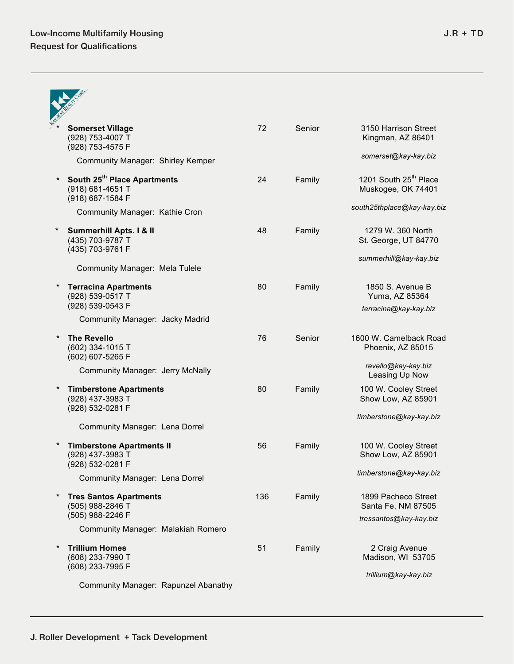|          | <b>Somerset Village</b><br>(928) 753-4007 T<br>(928) 753-4575 F          | 72  | Senior | 3150 Harrison Street<br>Kingman, AZ 86401                           |
|----------|--------------------------------------------------------------------------|-----|--------|---------------------------------------------------------------------|
|          | Community Manager: Shirley Kemper                                        |     |        | somerset@kay-kay.biz                                                |
| $\star$  | South 25th Place Apartments<br>(918) 681-4651 T<br>(918) 687-1584 F      | 24  | Family | 1201 South 25 <sup>th</sup> Place<br>Muskogee, OK 74401             |
|          | Community Manager: Kathie Cron                                           |     |        | south25thplace@kay-kay.biz                                          |
| $^\star$ | Summerhill Apts. I & II<br>(435) 703-9787 T<br>(435) 703-9761 F          | 48  | Family | 1279 W. 360 North<br>St. George, UT 84770                           |
|          | Community Manager: Mela Tulele                                           |     |        | summerhill@kay-kay.biz                                              |
|          | <b>Terracina Apartments</b><br>(928) 539-0517 T<br>(928) 539-0543 F      | 80  | Family | 1850 S. Avenue B<br>Yuma, AZ 85364                                  |
|          | Community Manager: Jacky Madrid                                          |     |        | terracina@kay-kay.biz                                               |
| $^\star$ | <b>The Revello</b><br>(602) 334-1015 T<br>(602) 607-5265 F               | 76  | Senior | 1600 W. Camelback Road<br>Phoenix, AZ 85015                         |
|          | Community Manager: Jerry McNally                                         |     |        | revello@kay-kay.biz<br>Leasing Up Now                               |
| $^\star$ | <b>Timberstone Apartments</b><br>(928) 437-3983 T<br>(928) 532-0281 F    | 80  | Family | 100 W. Cooley Street<br>Show Low, AZ 85901                          |
|          | Community Manager: Lena Dorrel                                           |     |        | timberstone@kay-kay.biz                                             |
| $^\star$ | <b>Timberstone Apartments II</b><br>(928) 437-3983 T<br>(928) 532-0281 F | 56  | Family | 100 W. Cooley Street<br>Show Low, AZ 85901                          |
|          | Community Manager: Lena Dorrel                                           |     |        | timberstone@kay-kay.biz                                             |
| $^\star$ | <b>Tres Santos Apartments</b><br>(505) 988-2846 T<br>(505) 988-2246 F    | 136 | Family | 1899 Pacheco Street<br>Santa Fe, NM 87505<br>tressantos@kay-kay.biz |
|          | Community Manager: Malakiah Romero                                       |     |        |                                                                     |
| $^\star$ | <b>Trillium Homes</b><br>(608) 233-7990 T<br>(608) 233-7995 F            | 51  | Family | 2 Craig Avenue<br>Madison, WI 53705                                 |
|          | Community Manager: Rapunzel Abanathy                                     |     |        | trillium@kay-kay.biz                                                |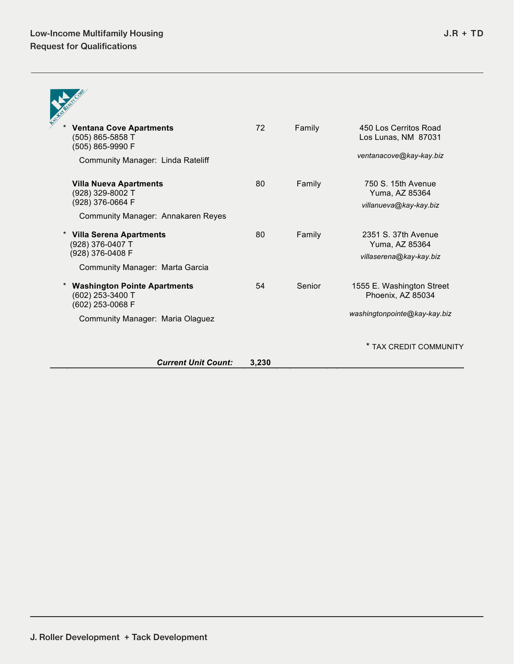| <b>Ventana Cove Apartments</b><br>(505) 865-5858 T<br>(505) 865-9990 F                                          | 72 | Family | 450 Los Cerritos Road<br>Los Lunas, NM 87031                                   |
|-----------------------------------------------------------------------------------------------------------------|----|--------|--------------------------------------------------------------------------------|
| Community Manager: Linda Rateliff                                                                               |    |        | ventanacove@kay-kay.biz                                                        |
| <b>Villa Nueva Apartments</b><br>(928) 329-8002 T<br>(928) 376-0664 F<br>Community Manager: Annakaren Reyes     | 80 | Family | 750 S. 15th Avenue<br>Yuma, AZ 85364<br>villanueva@kay-kay.biz                 |
| <b>Villa Serena Apartments</b><br>(928) 376-0407 T<br>(928) 376-0408 F<br>Community Manager: Marta Garcia       | 80 | Family | 2351 S. 37th Avenue<br>Yuma, AZ 85364<br>villaserena@kay-kay.biz               |
| <b>Washington Pointe Apartments</b><br>(602) 253-3400 T<br>(602) 253-0068 F<br>Community Manager: Maria Olaguez | 54 | Senior | 1555 E. Washington Street<br>Phoenix, AZ 85034<br>washingtonpointe@kay-kay.biz |
|                                                                                                                 |    |        | * TAX CREDIT COMMUNITY                                                         |

*Current Unit Count:* **3,230**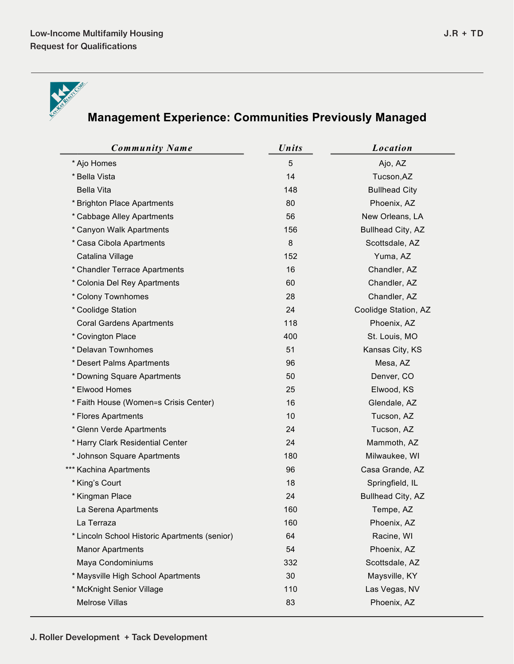



# **Management Experience: Communities Previously Managed**

| <b>Community Name</b>                         | <b>Units</b> | Location                 |
|-----------------------------------------------|--------------|--------------------------|
| * Ajo Homes                                   | 5            | Ajo, AZ                  |
| * Bella Vista                                 | 14           | Tucson, AZ               |
| <b>Bella Vita</b>                             | 148          | <b>Bullhead City</b>     |
| * Brighton Place Apartments                   | 80           | Phoenix, AZ              |
| * Cabbage Alley Apartments                    | 56           | New Orleans, LA          |
| * Canyon Walk Apartments                      | 156          | <b>Bullhead City, AZ</b> |
| * Casa Cibola Apartments                      | $\,8\,$      | Scottsdale, AZ           |
| Catalina Village                              | 152          | Yuma, AZ                 |
| * Chandler Terrace Apartments                 | 16           | Chandler, AZ             |
| * Colonia Del Rey Apartments                  | 60           | Chandler, AZ             |
| * Colony Townhomes                            | 28           | Chandler, AZ             |
| * Coolidge Station                            | 24           | Coolidge Station, AZ     |
| <b>Coral Gardens Apartments</b>               | 118          | Phoenix, AZ              |
| * Covington Place                             | 400          | St. Louis, MO            |
| * Delavan Townhomes                           | 51           | Kansas City, KS          |
| * Desert Palms Apartments                     | 96           | Mesa, AZ                 |
| * Downing Square Apartments                   | 50           | Denver, CO               |
| * Elwood Homes                                | 25           | Elwood, KS               |
| * Faith House (Women=s Crisis Center)         | 16           | Glendale, AZ             |
| * Flores Apartments                           | 10           | Tucson, AZ               |
| * Glenn Verde Apartments                      | 24           | Tucson, AZ               |
| * Harry Clark Residential Center              | 24           | Mammoth, AZ              |
| * Johnson Square Apartments                   | 180          | Milwaukee, WI            |
| *** Kachina Apartments                        | 96           | Casa Grande, AZ          |
| * King's Court                                | 18           | Springfield, IL          |
| * Kingman Place                               | 24           | Bullhead City, AZ        |
| La Serena Apartments                          | 160          | Tempe, AZ                |
| La Terraza                                    | 160          | Phoenix, AZ              |
| * Lincoln School Historic Apartments (senior) | 64           | Racine, WI               |
| <b>Manor Apartments</b>                       | 54           | Phoenix, AZ              |
| Maya Condominiums                             | 332          | Scottsdale, AZ           |
| * Maysville High School Apartments            | 30           | Maysville, KY            |
| * McKnight Senior Village                     | 110          | Las Vegas, NV            |
| <b>Melrose Villas</b>                         | 83           | Phoenix, AZ              |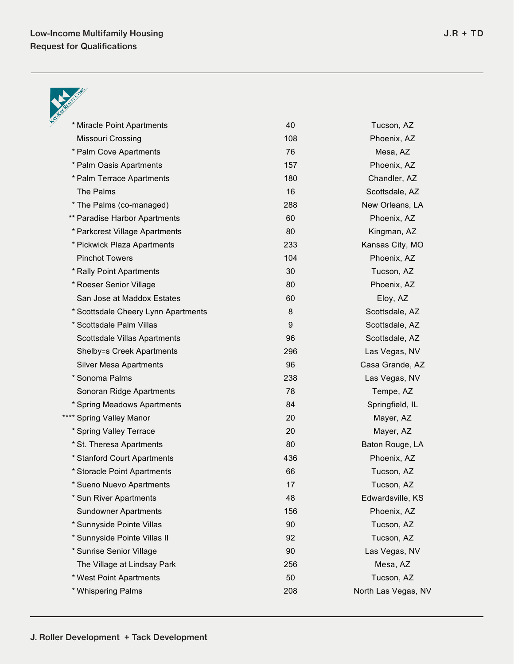

| * Miracle Point Apartments          | 40  | Tucson, AZ          |
|-------------------------------------|-----|---------------------|
| Missouri Crossing                   | 108 | Phoenix, AZ         |
| * Palm Cove Apartments              | 76  | Mesa, AZ            |
| * Palm Oasis Apartments             | 157 | Phoenix, AZ         |
| * Palm Terrace Apartments           | 180 | Chandler, AZ        |
| The Palms                           | 16  | Scottsdale, AZ      |
| * The Palms (co-managed)            | 288 | New Orleans, LA     |
| ** Paradise Harbor Apartments       | 60  | Phoenix, AZ         |
| * Parkcrest Village Apartments      | 80  | Kingman, AZ         |
| * Pickwick Plaza Apartments         | 233 | Kansas City, MO     |
| <b>Pinchot Towers</b>               | 104 | Phoenix, AZ         |
| * Rally Point Apartments            | 30  | Tucson, AZ          |
| * Roeser Senior Village             | 80  | Phoenix, AZ         |
| San Jose at Maddox Estates          | 60  | Eloy, AZ            |
| * Scottsdale Cheery Lynn Apartments | 8   | Scottsdale, AZ      |
| * Scottsdale Palm Villas            | 9   | Scottsdale, AZ      |
| Scottsdale Villas Apartments        | 96  | Scottsdale, AZ      |
| <b>Shelby=s Creek Apartments</b>    | 296 | Las Vegas, NV       |
| <b>Silver Mesa Apartments</b>       | 96  | Casa Grande, AZ     |
| * Sonoma Palms                      | 238 | Las Vegas, NV       |
| Sonoran Ridge Apartments            | 78  | Tempe, AZ           |
| * Spring Meadows Apartments         | 84  | Springfield, IL     |
| **** Spring Valley Manor            | 20  | Mayer, AZ           |
| * Spring Valley Terrace             | 20  | Mayer, AZ           |
| * St. Theresa Apartments            | 80  | Baton Rouge, LA     |
| * Stanford Court Apartments         | 436 | Phoenix, AZ         |
| * Storacle Point Apartments         | 66  | Tucson, AZ          |
| * Sueno Nuevo Apartments            | 17  | Tucson, AZ          |
| * Sun River Apartments              | 48  | Edwardsville, KS    |
| <b>Sundowner Apartments</b>         | 156 | Phoenix, AZ         |
| * Sunnyside Pointe Villas           | 90  | Tucson, AZ          |
| * Sunnyside Pointe Villas II        | 92  | Tucson, AZ          |
| * Sunrise Senior Village            | 90  | Las Vegas, NV       |
| The Village at Lindsay Park         | 256 | Mesa, AZ            |
| * West Point Apartments             | 50  | Tucson, AZ          |
| * Whispering Palms                  | 208 | North Las Vegas, NV |
|                                     |     |                     |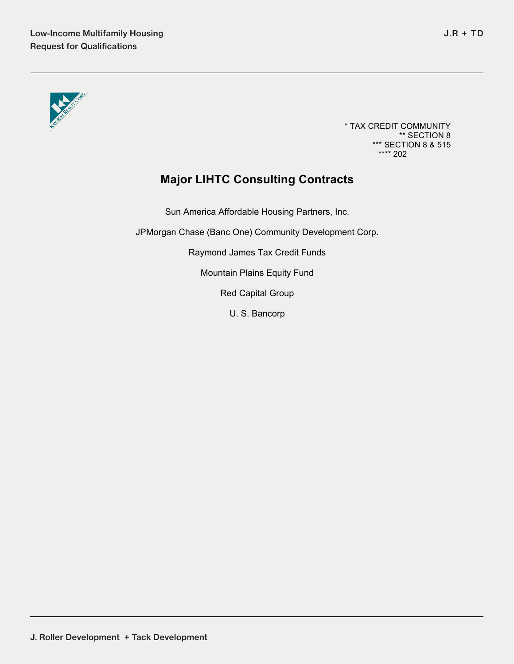

\* TAX CREDIT COMMUNITY \*\* SECTION 8 \*\*\* SECTION 8 & 515 \*\*\*\* 202

## **Major LIHTC Consulting Contracts**

Sun America Affordable Housing Partners, Inc.

JPMorgan Chase (Banc One) Community Development Corp.

Raymond James Tax Credit Funds

Mountain Plains Equity Fund

Red Capital Group

U. S. Bancorp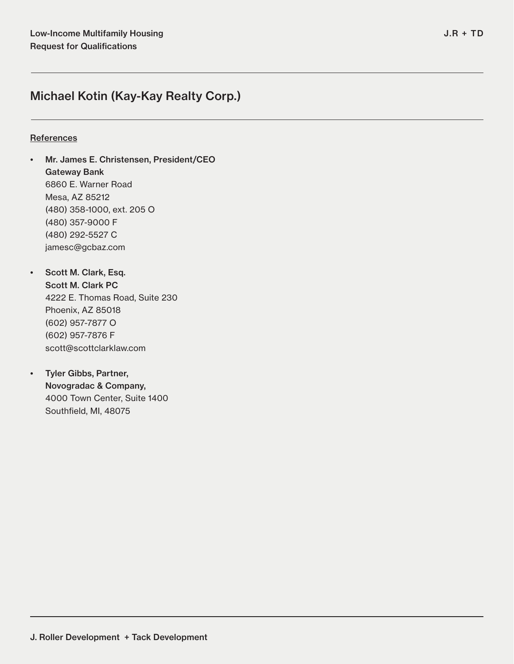## **References**

- Mr. James E. Christensen, President/CEO Gateway Bank 6860 E. Warner Road Mesa, AZ 85212 (480) 358-1000, ext. 205 O (480) 357-9000 F (480) 292-5527 C jamesc@gcbaz.com
- Scott M. Clark, Esq. Scott M. Clark PC 4222 E. Thomas Road, Suite 230 Phoenix, AZ 85018 (602) 957-7877 O (602) 957-7876 F scott@scottclarklaw.com
- Tyler Gibbs, Partner, Novogradac & Company, 4000 Town Center, Suite 1400 Southfield, MI, 48075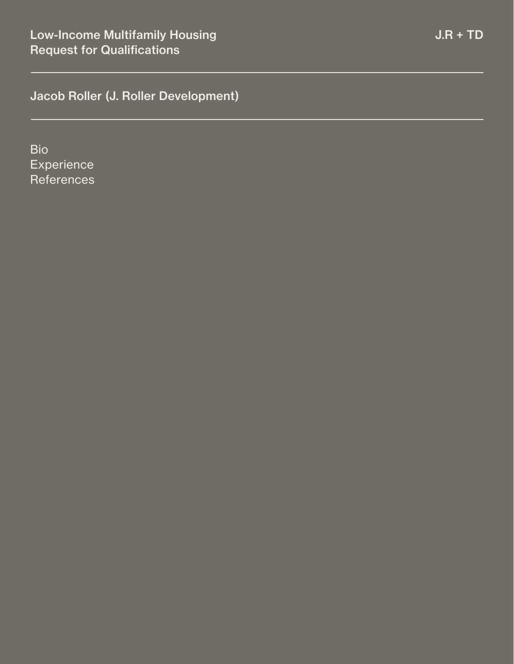Bio **Experience References**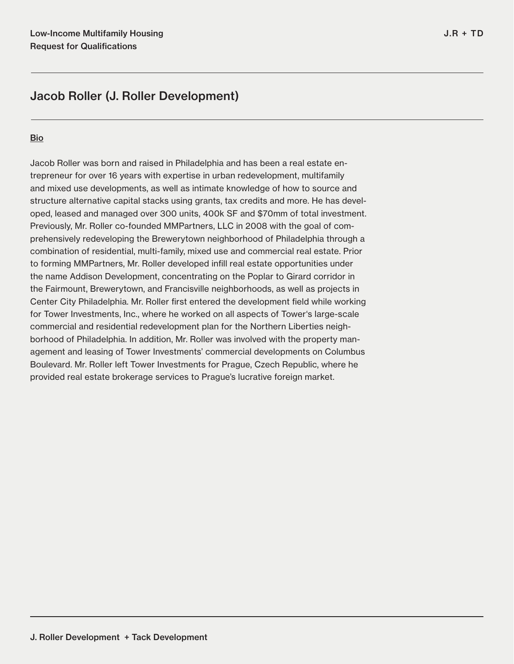## **Bio**

Jacob Roller was born and raised in Philadelphia and has been a real estate entrepreneur for over 16 years with expertise in urban redevelopment, multifamily and mixed use developments, as well as intimate knowledge of how to source and structure alternative capital stacks using grants, tax credits and more. He has developed, leased and managed over 300 units, 400k SF and \$70mm of total investment. Previously, Mr. Roller co-founded MMPartners, LLC in 2008 with the goal of comprehensively redeveloping the Brewerytown neighborhood of Philadelphia through a combination of residential, multi-family, mixed use and commercial real estate. Prior to forming MMPartners, Mr. Roller developed infill real estate opportunities under the name Addison Development, concentrating on the Poplar to Girard corridor in the Fairmount, Brewerytown, and Francisville neighborhoods, as well as projects in Center City Philadelphia. Mr. Roller first entered the development field while working for Tower Investments, Inc., where he worked on all aspects of Tower's large-scale commercial and residential redevelopment plan for the Northern Liberties neighborhood of Philadelphia. In addition, Mr. Roller was involved with the property management and leasing of Tower Investments' commercial developments on Columbus Boulevard. Mr. Roller left Tower Investments for Prague, Czech Republic, where he provided real estate brokerage services to Prague's lucrative foreign market.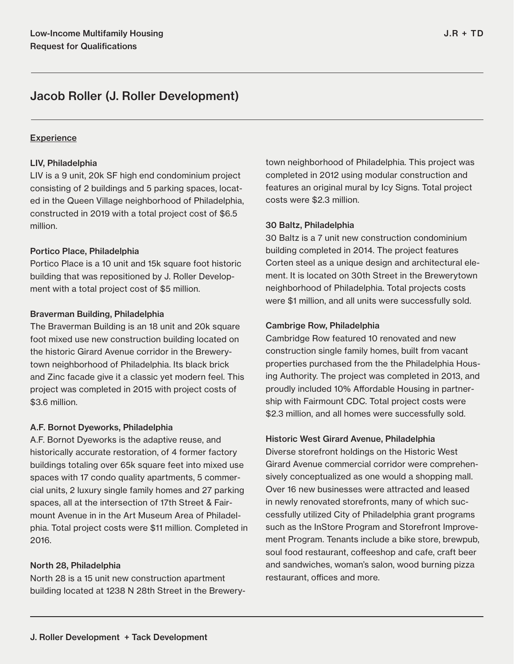## **Experience**

## LIV, Philadelphia

LIV is a 9 unit, 20k SF high end condominium project consisting of 2 buildings and 5 parking spaces, located in the Queen Village neighborhood of Philadelphia, constructed in 2019 with a total project cost of \$6.5 million.

## Portico Place, Philadelphia

Portico Place is a 10 unit and 15k square foot historic building that was repositioned by J. Roller Development with a total project cost of \$5 million.

## Braverman Building, Philadelphia

The Braverman Building is an 18 unit and 20k square foot mixed use new construction building located on the historic Girard Avenue corridor in the Brewerytown neighborhood of Philadelphia. Its black brick and Zinc facade give it a classic yet modern feel. This project was completed in 2015 with project costs of \$3.6 million.

## A.F. Bornot Dyeworks, Philadelphia

A.F. Bornot Dyeworks is the adaptive reuse, and historically accurate restoration, of 4 former factory buildings totaling over 65k square feet into mixed use spaces with 17 condo quality apartments, 5 commercial units, 2 luxury single family homes and 27 parking spaces, all at the intersection of 17th Street & Fairmount Avenue in in the Art Museum Area of Philadelphia. Total project costs were \$11 million. Completed in 2016.

## North 28, Philadelphia

North 28 is a 15 unit new construction apartment building located at 1238 N 28th Street in the Brewerytown neighborhood of Philadelphia. This project was completed in 2012 using modular construction and features an original mural by Icy Signs. Total project costs were \$2.3 million.

## 30 Baltz, Philadelphia

30 Baltz is a 7 unit new construction condominium building completed in 2014. The project features Corten steel as a unique design and architectural element. It is located on 30th Street in the Brewerytown neighborhood of Philadelphia. Total projects costs were \$1 million, and all units were successfully sold.

## Cambrige Row, Philadelphia

Cambridge Row featured 10 renovated and new construction single family homes, built from vacant properties purchased from the the Philadelphia Housing Authority. The project was completed in 2013, and proudly included 10% Affordable Housing in partnership with Fairmount CDC. Total project costs were \$2.3 million, and all homes were successfully sold.

#### Historic West Girard Avenue, Philadelphia

Diverse storefront holdings on the Historic West Girard Avenue commercial corridor were comprehensively conceptualized as one would a shopping mall. Over 16 new businesses were attracted and leased in newly renovated storefronts, many of which successfully utilized City of Philadelphia grant programs such as the InStore Program and Storefront Improvement Program. Tenants include a bike store, brewpub, soul food restaurant, coffeeshop and cafe, craft beer and sandwiches, woman's salon, wood burning pizza restaurant, offices and more.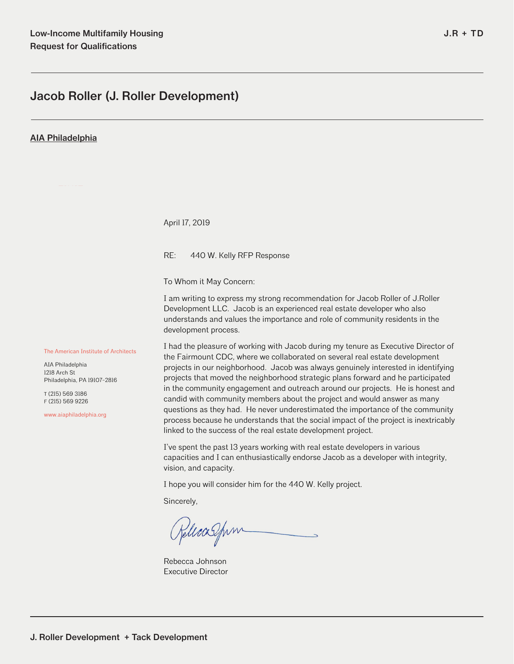#### AIA Philadelphia

April 17, 2019

RE: 440 W. Kelly RFP Response

To Whom it May Concern:

I am writing to express my strong recommendation for Jacob Roller of J.Roller Development LLC. Jacob is an experienced real estate developer who also understands and values the importance and role of community residents in the development process.

The American Institute of Architects

AIA Philadelphia 1218 Arch St Philadelphia, PA 19107-2816

T (215) 569 3186 F (215) 569 9226

www.aiaphiladelphia.org

I had the pleasure of working with Jacob during my tenure as Executive Director of the Fairmount CDC, where we collaborated on several real estate development projects in our neighborhood. Jacob was always genuinely interested in identifying projects that moved the neighborhood strategic plans forward and he participated in the community engagement and outreach around our projects. He is honest and candid with community members about the project and would answer as many questions as they had. He never underestimated the importance of the community process because he understands that the social impact of the project is inextricably linked to the success of the real estate development project.

I've spent the past 13 years working with real estate developers in various capacities and I can enthusiastically endorse Jacob as a developer with integrity, vision, and capacity.

I hope you will consider him for the 440 W. Kelly project.

Sincerely,

Releasfum

Rebecca Johnson Executive Director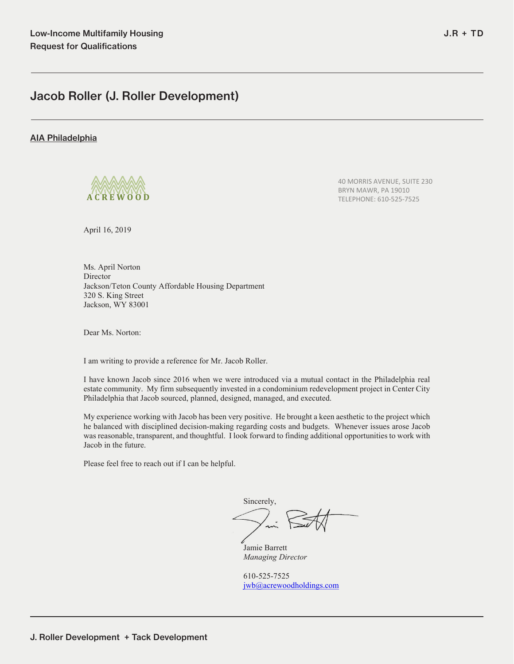#### AIA Philadelphia



40 MORRIS AVENUE, SUITE 230 BRYN MAWR, PA 19010 **A C R E W O O D** TELEPHONE: 610‐525‐7525

April 16, 2019

Ms. April Norton Director Jackson/Teton County Affordable Housing Department 320 S. King Street Jackson, WY 83001

Dear Ms. Norton:

I am writing to provide a reference for Mr. Jacob Roller.

I have known Jacob since 2016 when we were introduced via a mutual contact in the Philadelphia real estate community. My firm subsequently invested in a condominium redevelopment project in Center City Philadelphia that Jacob sourced, planned, designed, managed, and executed.

My experience working with Jacob has been very positive. He brought a keen aesthetic to the project which he balanced with disciplined decision-making regarding costs and budgets. Whenever issues arose Jacob was reasonable, transparent, and thoughtful. I look forward to finding additional opportunities to work with Jacob in the future.

Please feel free to reach out if I can be helpful.

Sincerely,

 Jamie Barrett *Managing Director* 

610-525-7525 jwb@acrewoodholdings.com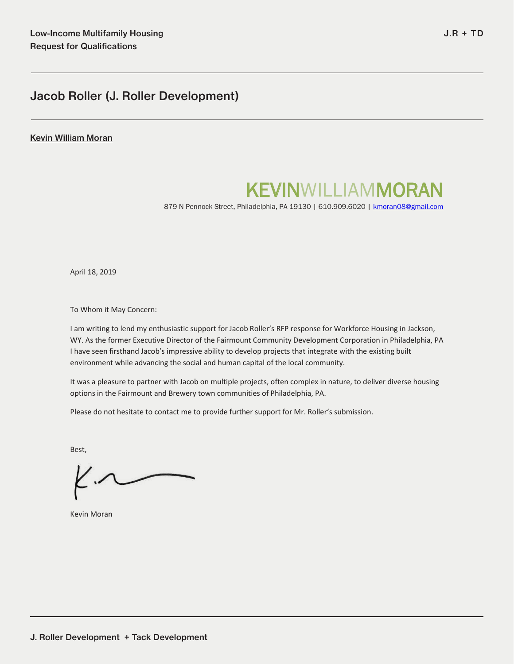#### Kevin William Moran

# KEVINWILLIAMMORAN 879 N Pennock Street, Philadelphia, PA 19130 | 610.909.6020 | <u>kmoran08@gmail.com</u>

April 18, 2019

To Whom it May Concern:

I am writing to lend my enthusiastic support for Jacob Roller's RFP response for Workforce Housing in Jackson, WY. As the former Executive Director of the Fairmount Community Development Corporation in Philadelphia, PA I have seen firsthand Jacob's impressive ability to develop projects that integrate with the existing built environment while advancing the social and human capital of the local community.

It was a pleasure to partner with Jacob on multiple projects, often complex in nature, to deliver diverse housing options in the Fairmount and Brewery town communities of Philadelphia, PA.

Please do not hesitate to contact me to provide further support for Mr. Roller's submission.

Best,

Kevin Moran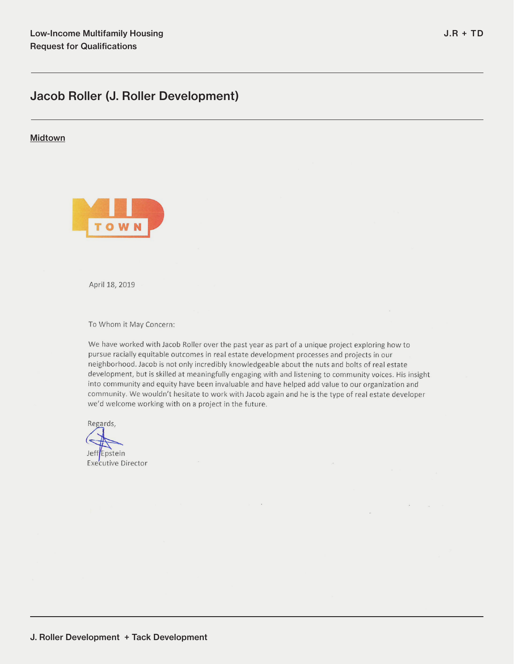## Midtown



April 18, 2019

To Whom it May Concern:

We have worked with Jacob Roller over the past year as part of a unique project exploring how to pursue racially equitable outcomes in real estate development processes and projects in our neighborhood. Jacob is not only incredibly knowledgeable about the nuts and bolts of real estate development, but is skilled at meaningfully engaging with and listening to community voices. His insight into community and equity have been invaluable and have helped add value to our organization and community. We wouldn't hesitate to work with Jacob again and he is the type of real estate developer we'd welcome working with on a project in the future.

 $\mathbf{z}$ 

 $\sim$ 

 $\sim$ 

Regards,

Jeff<sup>Epstein</sup> **Executive Director** 

J. Roller Development + Tack Development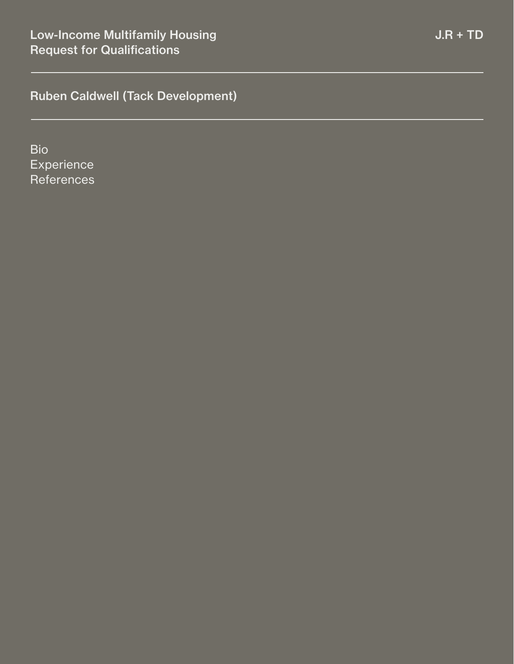Bio **Experience References**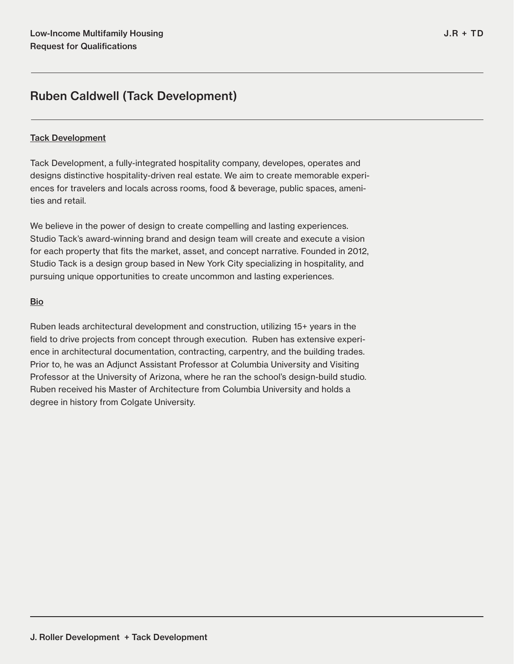## Tack Development

Tack Development, a fully-integrated hospitality company, developes, operates and designs distinctive hospitality-driven real estate. We aim to create memorable experiences for travelers and locals across rooms, food & beverage, public spaces, amenities and retail.

We believe in the power of design to create compelling and lasting experiences. Studio Tack's award-winning brand and design team will create and execute a vision for each property that fits the market, asset, and concept narrative. Founded in 2012, Studio Tack is a design group based in New York City specializing in hospitality, and pursuing unique opportunities to create uncommon and lasting experiences.

## Bio

Ruben leads architectural development and construction, utilizing 15+ years in the field to drive projects from concept through execution. Ruben has extensive experience in architectural documentation, contracting, carpentry, and the building trades. Prior to, he was an Adjunct Assistant Professor at Columbia University and Visiting Professor at the University of Arizona, where he ran the school's design-build studio. Ruben received his Master of Architecture from Columbia University and holds a degree in history from Colgate University.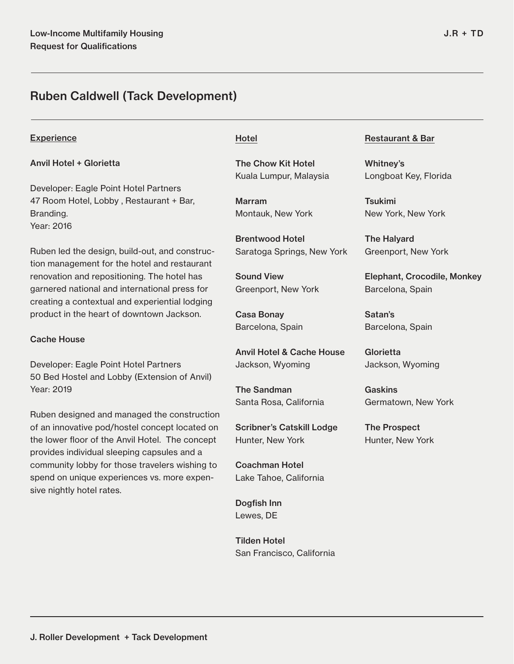## **Experience**

## Anvil Hotel + Glorietta

Developer: Eagle Point Hotel Partners 47 Room Hotel, Lobby , Restaurant + Bar, Branding. Year: 2016

Ruben led the design, build-out, and construction management for the hotel and restaurant renovation and repositioning. The hotel has garnered national and international press for creating a contextual and experiential lodging product in the heart of downtown Jackson.

#### Cache House

Developer: Eagle Point Hotel Partners 50 Bed Hostel and Lobby (Extension of Anvil) Year: 2019

Ruben designed and managed the construction of an innovative pod/hostel concept located on the lower floor of the Anvil Hotel. The concept provides individual sleeping capsules and a community lobby for those travelers wishing to spend on unique experiences vs. more expensive nightly hotel rates.

## Hotel

The Chow Kit Hotel Kuala Lumpur, Malaysia

Marram Montauk, New York

Brentwood Hotel Saratoga Springs, New York

Sound View Greenport, New York

Casa Bonay Barcelona, Spain

Anvil Hotel & Cache House Jackson, Wyoming

The Sandman Santa Rosa, California

Scribner's Catskill Lodge Hunter, New York

Coachman Hotel Lake Tahoe, California

Dogfish Inn Lewes, DE

Tilden Hotel San Francisco, California

## Restaurant & Bar

Whitney's Longboat Key, Florida

Tsukimi New York, New York

The Halyard Greenport, New York

Elephant, Crocodile, Monkey Barcelona, Spain

Satan's Barcelona, Spain

**Glorietta** Jackson, Wyoming

Gaskins Germatown, New York

The Prospect Hunter, New York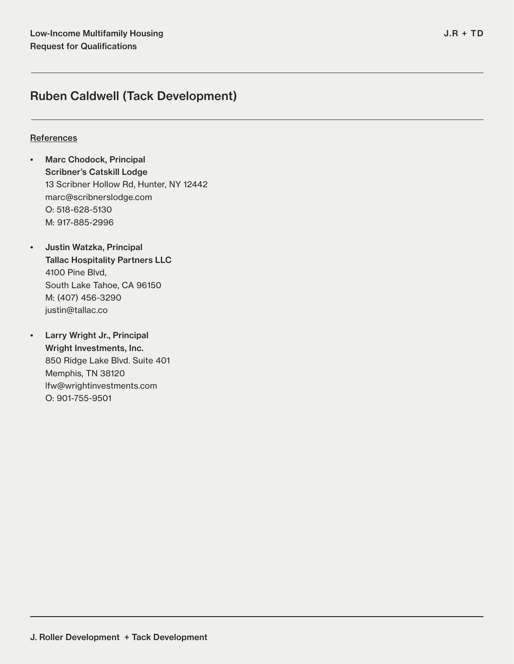## **References**

- Marc Chodock, Principal Scribner's Catskill Lodge 13 Scribner Hollow Rd, Hunter, NY 12442 marc@scribnerslodge.com O: 518-628-5130 M: 917-885-2996
- Justin Watzka, Principal Tallac Hospitality Partners LLC 4100 Pine Blvd, South Lake Tahoe, CA 96150 M: (407) 456-3290 justin@tallac.co
- Larry Wright Jr., Principal Wright Investments, Inc. 850 Ridge Lake Blvd. Suite 401 Memphis, TN 38120 lfw@wrightinvestments.com O: 901-755-9501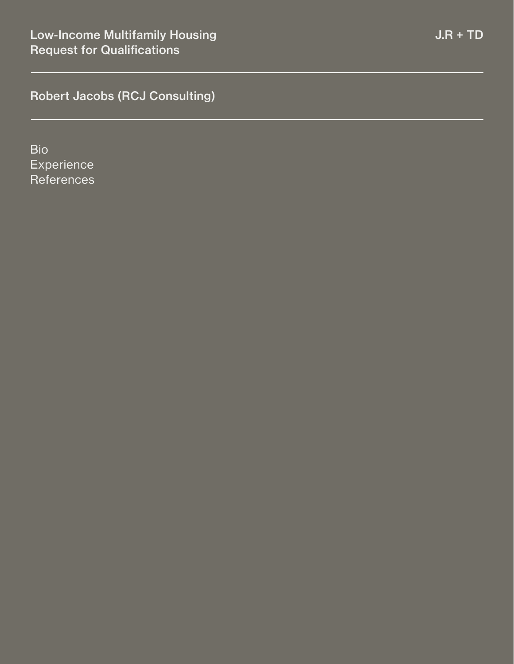Bio **Experience References**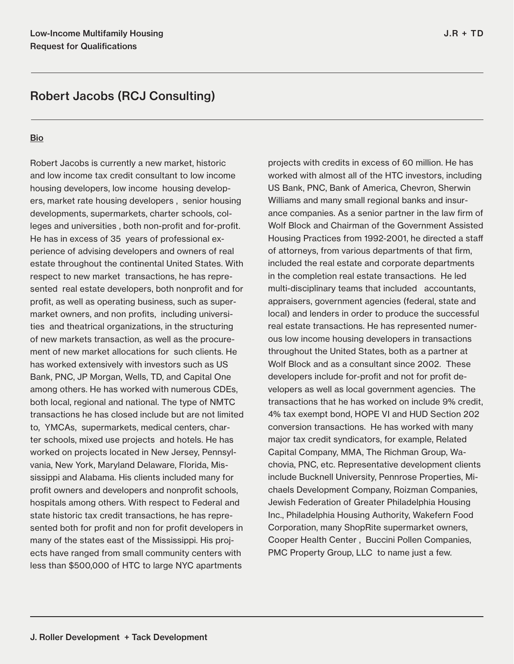## **Bio**

Robert Jacobs is currently a new market, historic and low income tax credit consultant to low income housing developers, low income housing developers, market rate housing developers , senior housing developments, supermarkets, charter schools, colleges and universities , both non-profit and for-profit. He has in excess of 35 years of professional experience of advising developers and owners of real estate throughout the continental United States. With respect to new market transactions, he has represented real estate developers, both nonprofit and for profit, as well as operating business, such as supermarket owners, and non profits, including universities and theatrical organizations, in the structuring of new markets transaction, as well as the procurement of new market allocations for such clients. He has worked extensively with investors such as US Bank, PNC, JP Morgan, Wells, TD, and Capital One among others. He has worked with numerous CDEs, both local, regional and national. The type of NMTC transactions he has closed include but are not limited to, YMCAs, supermarkets, medical centers, charter schools, mixed use projects and hotels. He has worked on projects located in New Jersey, Pennsylvania, New York, Maryland Delaware, Florida, Mississippi and Alabama. His clients included many for profit owners and developers and nonprofit schools, hospitals among others. With respect to Federal and state historic tax credit transactions, he has represented both for profit and non for profit developers in many of the states east of the Mississippi. His projects have ranged from small community centers with less than \$500,000 of HTC to large NYC apartments

projects with credits in excess of 60 million. He has worked with almost all of the HTC investors, including US Bank, PNC, Bank of America, Chevron, Sherwin Williams and many small regional banks and insurance companies. As a senior partner in the law firm of Wolf Block and Chairman of the Government Assisted Housing Practices from 1992-2001, he directed a staff of attorneys, from various departments of that firm, included the real estate and corporate departments in the completion real estate transactions. He led multi-disciplinary teams that included accountants, appraisers, government agencies (federal, state and local) and lenders in order to produce the successful real estate transactions. He has represented numerous low income housing developers in transactions throughout the United States, both as a partner at Wolf Block and as a consultant since 2002. These developers include for-profit and not for profit developers as well as local government agencies. The transactions that he has worked on include 9% credit, 4% tax exempt bond, HOPE VI and HUD Section 202 conversion transactions. He has worked with many major tax credit syndicators, for example, Related Capital Company, MMA, The Richman Group, Wachovia, PNC, etc. Representative development clients include Bucknell University, Pennrose Properties, Michaels Development Company, Roizman Companies, Jewish Federation of Greater Philadelphia Housing Inc., Philadelphia Housing Authority, Wakefern Food Corporation, many ShopRite supermarket owners, Cooper Health Center , Buccini Pollen Companies, PMC Property Group, LLC to name just a few.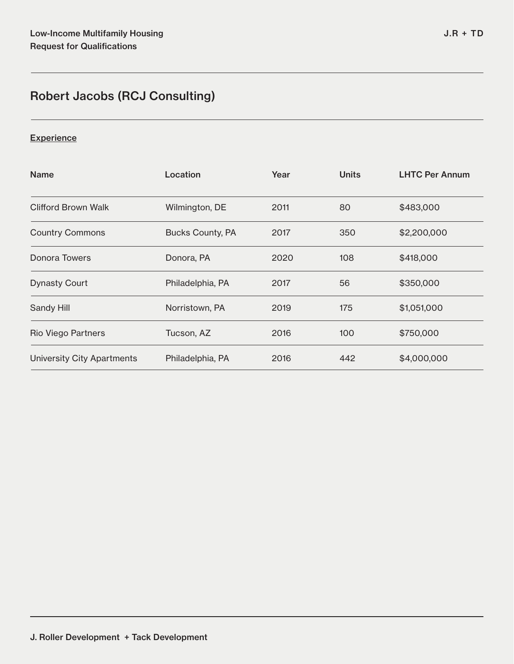## **Experience**

| <b>Name</b>                       | Location                | Year | <b>Units</b> | <b>LHTC Per Annum</b> |
|-----------------------------------|-------------------------|------|--------------|-----------------------|
| Clifford Brown Walk               | Wilmington, DE          | 2011 | 80           | \$483,000             |
| <b>Country Commons</b>            | <b>Bucks County, PA</b> | 2017 | 350          | \$2,200,000           |
| Donora Towers                     | Donora, PA              | 2020 | 108          | \$418,000             |
| <b>Dynasty Court</b>              | Philadelphia, PA        | 2017 | 56           | \$350,000             |
| Sandy Hill                        | Norristown, PA          | 2019 | 175          | \$1,051,000           |
| Rio Viego Partners                | Tucson, AZ              | 2016 | 100          | \$750,000             |
| <b>University City Apartments</b> | Philadelphia, PA        | 2016 | 442          | \$4,000,000           |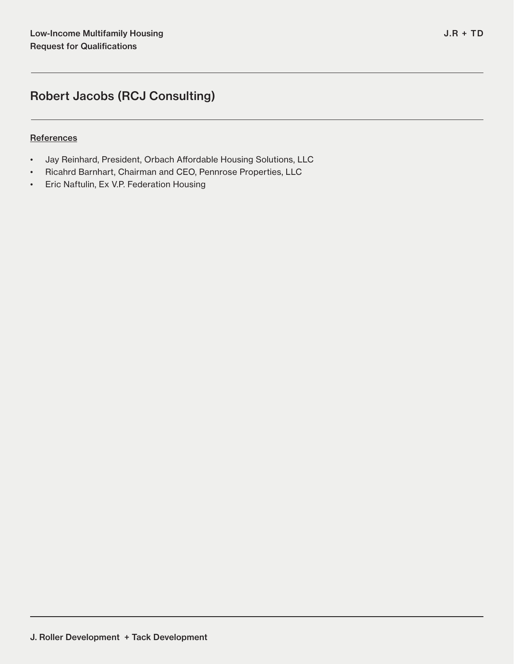## **References**

- Jay Reinhard, President, Orbach Affordable Housing Solutions, LLC
- Ricahrd Barnhart, Chairman and CEO, Pennrose Properties, LLC
- Eric Naftulin, Ex V.P. Federation Housing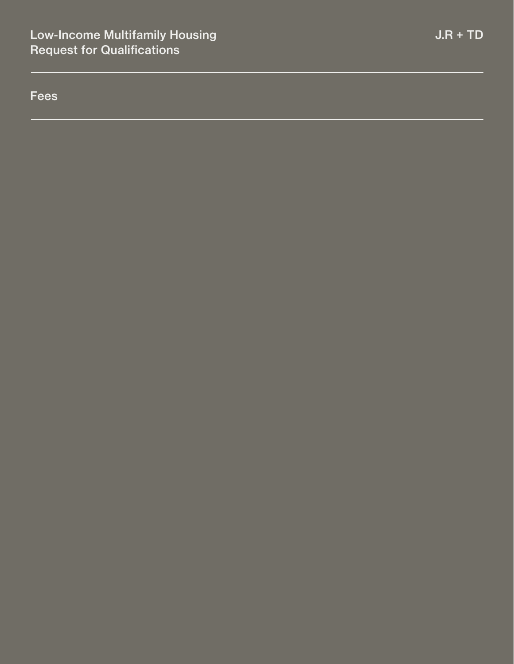Fees